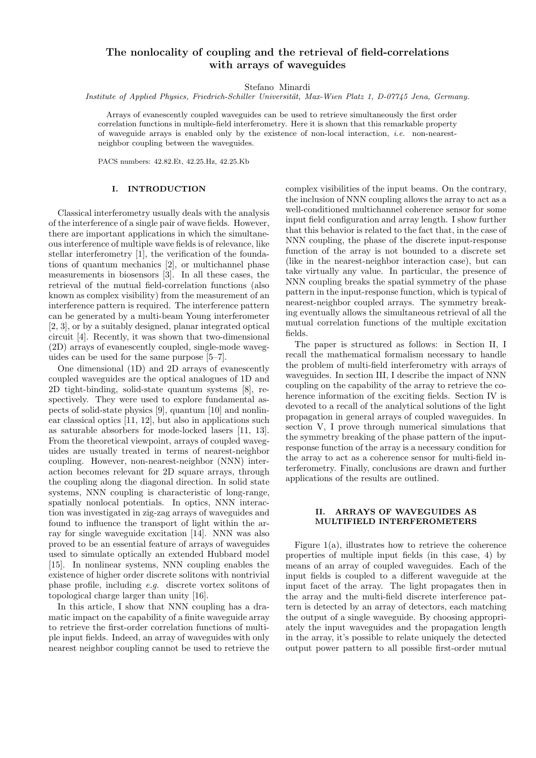# The nonlocality of coupling and the retrieval of field-correlations with arrays of waveguides

Stefano Minardi

Institute of Applied Physics, Friedrich-Schiller Universität, Max-Wien Platz 1, D-07745 Jena, Germany.

Arrays of evanescently coupled waveguides can be used to retrieve simultaneously the first order correlation functions in multiple-field interferometry. Here it is shown that this remarkable property of waveguide arrays is enabled only by the existence of non-local interaction, *i.e.* non-nearestneighbor coupling between the waveguides.

PACS numbers: 42.82.Et, 42.25.Hz, 42.25.Kb

# I. INTRODUCTION

Classical interferometry usually deals with the analysis of the interference of a single pair of wave fields. However, there are important applications in which the simultaneous interference of multiple wave fields is of relevance, like stellar interferometry [1], the verification of the foundations of quantum mechanics [2], or multichannel phase measurements in biosensors [3]. In all these cases, the retrieval of the mutual field-correlation functions (also known as complex visibility) from the measurement of an interference pattern is required. The interference pattern can be generated by a multi-beam Young interferometer [2, 3], or by a suitably designed, planar integrated optical circuit [4]. Recently, it was shown that two-dimensional (2D) arrays of evanescently coupled, single-mode waveguides can be used for the same purpose [5–7].

One dimensional (1D) and 2D arrays of evanescently coupled waveguides are the optical analogues of 1D and 2D tight-binding, solid-state quantum systems [8], respectively. They were used to explore fundamental aspects of solid-state physics [9], quantum [10] and nonlinear classical optics [11, 12], but also in applications such as saturable absorbers for mode-locked lasers [11, 13]. From the theoretical viewpoint, arrays of coupled waveguides are usually treated in terms of nearest-neighbor coupling. However, non-nearest-neighbor (NNN) interaction becomes relevant for 2D square arrays, through the coupling along the diagonal direction. In solid state systems, NNN coupling is characteristic of long-range, spatially nonlocal potentials. In optics, NNN interaction was investigated in zig-zag arrays of waveguides and found to influence the transport of light within the array for single waveguide excitation [14]. NNN was also proved to be an essential feature of arrays of waveguides used to simulate optically an extended Hubbard model [15]. In nonlinear systems, NNN coupling enables the existence of higher order discrete solitons with nontrivial phase profile, including e.g. discrete vortex solitons of topological charge larger than unity [16].

In this article, I show that NNN coupling has a dramatic impact on the capability of a finite waveguide array to retrieve the first-order correlation functions of multiple input fields. Indeed, an array of waveguides with only nearest neighbor coupling cannot be used to retrieve the complex visibilities of the input beams. On the contrary, the inclusion of NNN coupling allows the array to act as a well-conditioned multichannel coherence sensor for some input field configuration and array length. I show further that this behavior is related to the fact that, in the case of NNN coupling, the phase of the discrete input-response function of the array is not bounded to a discrete set (like in the nearest-neighbor interaction case), but can take virtually any value. In particular, the presence of NNN coupling breaks the spatial symmetry of the phase pattern in the input-response function, which is typical of nearest-neighbor coupled arrays. The symmetry breaking eventually allows the simultaneous retrieval of all the mutual correlation functions of the multiple excitation fields.

The paper is structured as follows: in Section II, I recall the mathematical formalism necessary to handle the problem of multi-field interferometry with arrays of waveguides. In section III, I describe the impact of NNN coupling on the capability of the array to retrieve the coherence information of the exciting fields. Section IV is devoted to a recall of the analytical solutions of the light propagation in general arrays of coupled waveguides. In section V, I prove through numerical simulations that the symmetry breaking of the phase pattern of the inputresponse function of the array is a necessary condition for the array to act as a coherence sensor for multi-field interferometry. Finally, conclusions are drawn and further applications of the results are outlined.

# II. ARRAYS OF WAVEGUIDES AS MULTIFIELD INTERFEROMETERS

Figure 1(a), illustrates how to retrieve the coherence properties of multiple input fields (in this case, 4) by means of an array of coupled waveguides. Each of the input fields is coupled to a different waveguide at the input facet of the array. The light propagates then in the array and the multi-field discrete interference pattern is detected by an array of detectors, each matching the output of a single waveguide. By choosing appropriately the input waveguides and the propagation length in the array, it's possible to relate uniquely the detected output power pattern to all possible first-order mutual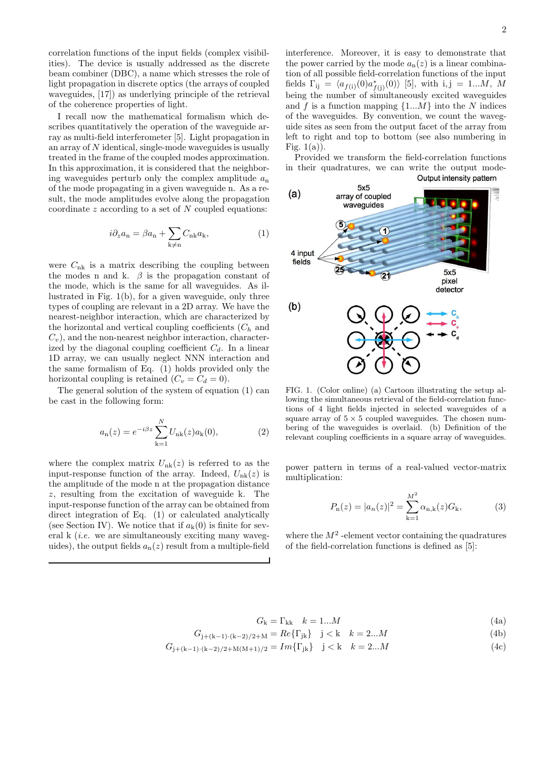correlation functions of the input fields (complex visibilities). The device is usually addressed as the discrete beam combiner (DBC), a name which stresses the role of light propagation in discrete optics (the arrays of coupled waveguides, [17]) as underlying principle of the retrieval of the coherence properties of light.

I recall now the mathematical formalism which describes quantitatively the operation of the waveguide array as multi-field interferometer [5]. Light propagation in an array of N identical, single-mode waveguides is usually treated in the frame of the coupled modes approximation. In this approximation, it is considered that the neighboring waveguides perturb only the complex amplitude  $a_n$ of the mode propagating in a given waveguide n. As a result, the mode amplitudes evolve along the propagation coordinate  $z$  according to a set of  $N$  coupled equations:

$$
i\partial_z a_{\rm n} = \beta a_{\rm n} + \sum_{\mathbf{k} \neq \mathbf{n}} C_{\mathbf{n}\mathbf{k}} a_{\mathbf{k}},\tag{1}
$$

were  $C_{nk}$  is a matrix describing the coupling between the modes n and k.  $\beta$  is the propagation constant of the mode, which is the same for all waveguides. As illustrated in Fig. 1(b), for a given waveguide, only three types of coupling are relevant in a 2D array. We have the nearest-neighbor interaction, which are characterized by the horizontal and vertical coupling coefficients  $(C_h$  and  $C_v$ , and the non-nearest neighbor interaction, characterized by the diagonal coupling coefficient  $C_d$ . In a linear 1D array, we can usually neglect NNN interaction and the same formalism of Eq. (1) holds provided only the horizontal coupling is retained  $(C_v = C_d = 0)$ .

The general solution of the system of equation (1) can be cast in the following form:

$$
a_{n}(z) = e^{-i\beta z} \sum_{k=1}^{N} U_{nk}(z) a_{k}(0),
$$
 (2)

where the complex matrix  $U_{nk}(z)$  is referred to as the input-response function of the array. Indeed,  $U_{nk}(z)$  is the amplitude of the mode n at the propagation distance z, resulting from the excitation of waveguide k. The input-response function of the array can be obtained from direct integration of Eq. (1) or calculated analytically (see Section IV). We notice that if  $a_k(0)$  is finite for several k (*i.e.* we are simultaneously exciting many waveguides), the output fields  $a_n(z)$  result from a multiple-field interference. Moreover, it is easy to demonstrate that the power carried by the mode  $a_n(z)$  is a linear combination of all possible field-correlation functions of the input fields  $\Gamma_{ij} = \langle a_{f(i)}(0) a_{f(j)}^*(0) \rangle$  [5], with i, j = 1...M, M being the number of simultaneously excited waveguides and f is a function mapping  $\{1...M\}$  into the N indices of the waveguides. By convention, we count the waveguide sites as seen from the output facet of the array from left to right and top to bottom (see also numbering in Fig.  $1(a)$ ).

Provided we transform the field-correlation functions in their quadratures, we can write the output mode-<br>Output intensity pattern



FIG. 1. (Color online) (a) Cartoon illustrating the setup allowing the simultaneous retrieval of the field-correlation functions of 4 light fields injected in selected waveguides of a square array of  $5 \times 5$  coupled waveguides. The chosen numbering of the waveguides is overlaid. (b) Definition of the relevant coupling coefficients in a square array of waveguides.

power pattern in terms of a real-valued vector-matrix multiplication:

$$
P_{n}(z) = |a_{n}(z)|^{2} = \sum_{k=1}^{M^{2}} \alpha_{n,k}(z) G_{k},
$$
 (3)

where the  $M^2$  -element vector containing the quadratures of the field-correlation functions is defined as [5]:

$$
G_{\mathbf{k}} = \Gamma_{\mathbf{k}\mathbf{k}} \quad k = 1...M \tag{4a}
$$

$$
G_{j+(k-1)\cdot(k-2)/2+M} = Re\{\Gamma_{jk}\} \quad j < k \quad k = 2...M \tag{4b}
$$

$$
G_{j+(k-1)\cdot(k-2)/2+M(M+1)/2} = Im\{\Gamma_{jk}\} \quad j < k \quad k = 2...M \tag{4c}
$$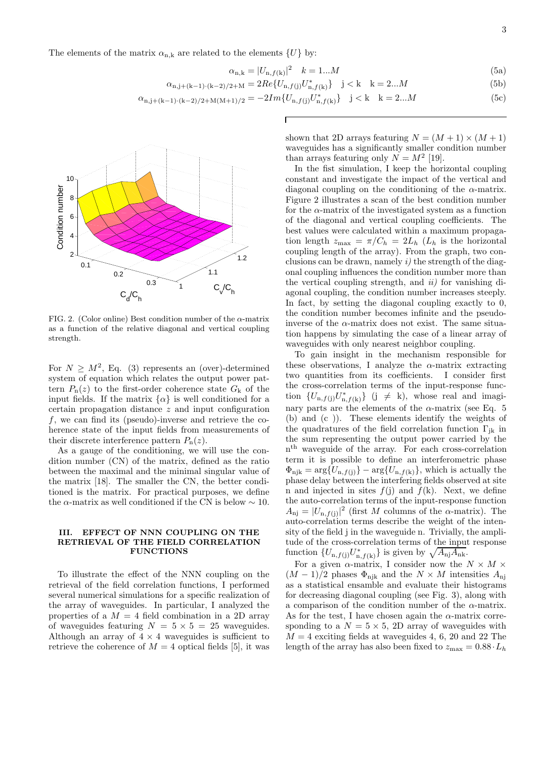The elements of the matrix  $\alpha_{n,k}$  are related to the elements  $\{U\}$  by:

$$
\alpha_{n,k} = |U_{n,f(k)}|^2 \quad k = 1...M \tag{5a}
$$

$$
\alpha_{n,j+(k-1)\cdot(k-2)/2+M} = 2Re\{U_{n,f(j)}U_{n,f(k)}^*\} \quad j < k \quad k = 2...M \tag{5b}
$$

$$
\alpha_{n,j+(k-1)\cdot(k-2)/2+M(M+1)/2} = -2Im\{U_{n,f(j)}U_{n,f(k)}^*\} \quad j < k \quad k = 2...M \tag{5c}
$$



FIG. 2. (Color online) Best condition number of the  $\alpha$ -matrix as a function of the relative diagonal and vertical coupling strength.

For  $N \geq M^2$ , Eq. (3) represents an (over)-determined system of equation which relates the output power pattern  $P_n(z)$  to the first-order coherence state  $G_k$  of the input fields. If the matrix  $\{\alpha\}$  is well conditioned for a certain propagation distance z and input configuration  $f$ , we can find its (pseudo)-inverse and retrieve the coherence state of the input fields from measurements of their discrete interference pattern  $P_n(z)$ .

As a gauge of the conditioning, we will use the condition number (CN) of the matrix, defined as the ratio between the maximal and the minimal singular value of the matrix [18]. The smaller the CN, the better conditioned is the matrix. For practical purposes, we define the  $\alpha$ -matrix as well conditioned if the CN is below  $\sim 10$ .

#### III. EFFECT OF NNN COUPLING ON THE RETRIEVAL OF THE FIELD CORRELATION FUNCTIONS

To illustrate the effect of the NNN coupling on the retrieval of the field correlation functions, I performed several numerical simulations for a specific realization of the array of waveguides. In particular, I analyzed the properties of a  $M = 4$  field combination in a 2D array of waveguides featuring  $N = 5 \times 5 = 25$  waveguides. Although an array of  $4 \times 4$  waveguides is sufficient to retrieve the coherence of  $M = 4$  optical fields [5], it was shown that 2D arrays featuring  $N = (M + 1) \times (M + 1)$ waveguides has a significantly smaller condition number than arrays featuring only  $N = M^2$  [19].

In the fist simulation, I keep the horizontal coupling constant and investigate the impact of the vertical and diagonal coupling on the conditioning of the  $\alpha$ -matrix. Figure 2 illustrates a scan of the best condition number for the  $\alpha$ -matrix of the investigated system as a function of the diagonal and vertical coupling coefficients. The best values were calculated within a maximum propagation length  $z_{\text{max}} = \pi / C_h = 2L_h$  ( $L_h$  is the horizontal coupling length of the array). From the graph, two conclusions can be drawn, namely  $i$  the strength of the diagonal coupling influences the condition number more than the vertical coupling strength, and  $ii$  for vanishing diagonal coupling, the condition number increases steeply. In fact, by setting the diagonal coupling exactly to 0, the condition number becomes infinite and the pseudoinverse of the  $\alpha$ -matrix does not exist. The same situation happens by simulating the case of a linear array of waveguides with only nearest neighbor coupling.

To gain insight in the mechanism responsible for these observations, I analyze the  $\alpha$ -matrix extracting two quantities from its coefficients. I consider first the cross-correlation terms of the input-response function  $\{U_{n,f(j)}U_{n,f(k)}^*\}$  (j  $\neq$  k), whose real and imaginary parts are the elements of the  $\alpha$ -matrix (see Eq. 5) (b) and (c )). These elements identify the weights of the quadratures of the field correlation function  $\Gamma_{ik}$  in the sum representing the output power carried by the n th waveguide of the array. For each cross-correlation term it is possible to define an interferometric phase  $\Phi_{\text{njk}} = \arg\{U_{\text{n},f(\text{j})}\} - \arg\{U_{\text{n},f(\text{k})}\}\$ , which is actually the phase delay between the interfering fields observed at site n and injected in sites  $f(j)$  and  $f(k)$ . Next, we define the auto-correlation terms of the input-response function  $A_{\rm nj} = |U_{\rm n,f(j)}|^2$  (first M columns of the  $\alpha$ -matrix). The auto-correlation terms describe the weight of the intensity of the field j in the waveguide n. Trivially, the amplitude of the cross-correlation terms of the input response function  $\{U_{n,f(j)}U_{n,f(k)}^*\}$  is given by  $\sqrt{A_{nj}A_{nk}}$ .

For a given  $\alpha$ -matrix, I consider now the  $N \times M \times$  $(M-1)/2$  phases  $\Phi_{\text{njk}}$  and the  $N \times M$  intensities  $A_{\text{njk}}$ as a statistical ensamble and evaluate their histograms for decreasing diagonal coupling (see Fig. 3), along with a comparison of the condition number of the  $\alpha$ -matrix. As for the test, I have chosen again the  $\alpha$ -matrix corresponding to a  $N = 5 \times 5$ , 2D array of waveguides with  $M = 4$  exciting fields at waveguides 4, 6, 20 and 22 The length of the array has also been fixed to  $z_{\text{max}} = 0.88 \cdot L_h$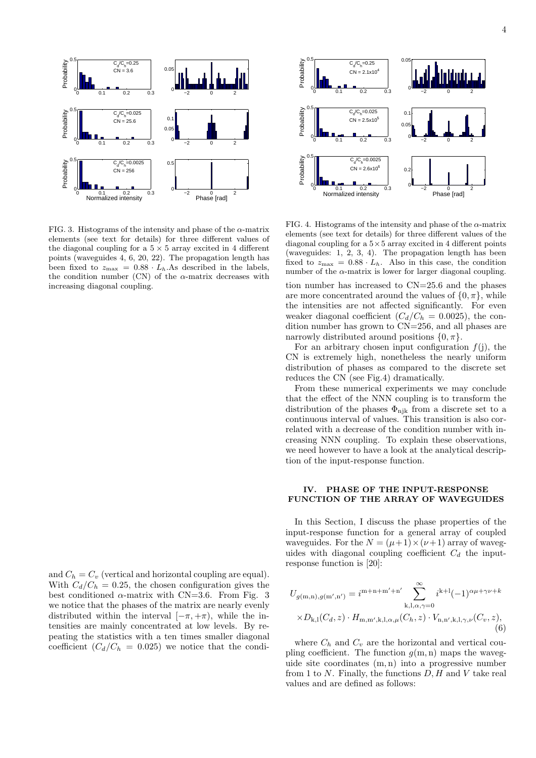

FIG. 3. Histograms of the intensity and phase of the  $\alpha$ -matrix elements (see text for details) for three different values of the diagonal coupling for a  $5 \times 5$  array excited in 4 different points (waveguides 4, 6, 20, 22). The propagation length has been fixed to  $z_{\text{max}} = 0.88 \cdot L_h$ . As described in the labels, the condition number (CN) of the  $\alpha$ -matrix decreases with increasing diagonal coupling.

and  $C_h = C_v$  (vertical and horizontal coupling are equal). With  $C_d/C_h = 0.25$ , the chosen configuration gives the best conditioned  $\alpha$ -matrix with CN=3.6. From Fig. 3 we notice that the phases of the matrix are nearly evenly distributed within the interval  $[-\pi, +\pi)$ , while the intensities are mainly concentrated at low levels. By repeating the statistics with a ten times smaller diagonal coefficient  $(C_d/C_h = 0.025)$  we notice that the condi-



FIG. 4. Histograms of the intensity and phase of the  $\alpha$ -matrix elements (see text for details) for three different values of the diagonal coupling for a  $5\times 5$  array excited in 4 different points (waveguides: 1, 2, 3, 4). The propagation length has been fixed to  $z_{\text{max}} = 0.88 \cdot L_h$ . Also in this case, the condition number of the  $\alpha$ -matrix is lower for larger diagonal coupling.

tion number has increased to CN=25.6 and the phases are more concentrated around the values of  $\{0, \pi\}$ , while the intensities are not affected significantly. For even weaker diagonal coefficient  $(C_d/C_h = 0.0025)$ , the condition number has grown to CN=256, and all phases are narrowly distributed around positions  $\{0, \pi\}.$ 

For an arbitrary chosen input configuration  $f(j)$ , the CN is extremely high, nonetheless the nearly uniform distribution of phases as compared to the discrete set reduces the CN (see Fig.4) dramatically.

From these numerical experiments we may conclude that the effect of the NNN coupling is to transform the distribution of the phases  $\Phi_{\text{njk}}$  from a discrete set to a continuous interval of values. This transition is also correlated with a decrease of the condition number with increasing NNN coupling. To explain these observations, we need however to have a look at the analytical description of the input-response function.

### IV. PHASE OF THE INPUT-RESPONSE FUNCTION OF THE ARRAY OF WAVEGUIDES

In this Section, I discuss the phase properties of the input-response function for a general array of coupled waveguides. For the  $N = (\mu + 1) \times (\nu + 1)$  array of waveguides with diagonal coupling coefficient  $C_d$  the inputresponse function is [20]:

$$
U_{g(m,n),g(m',n')} = i^{m+n+m'+n'} \sum_{k,l,\alpha,\gamma=0}^{\infty} i^{k+l} (-1)^{\alpha\mu+\gamma\nu+k} \times D_{k,l}(C_d, z) \cdot H_{m,m',k,l,\alpha,\mu}(C_h, z) \cdot V_{n,n',k,l,\gamma,\nu}(C_v, z),
$$
\n(6)

where  $C_h$  and  $C_v$  are the horizontal and vertical coupling coefficient. The function  $g(m, n)$  maps the waveguide site coordinates (m, n) into a progressive number from 1 to  $N$ . Finally, the functions  $D, H$  and  $V$  take real values and are defined as follows: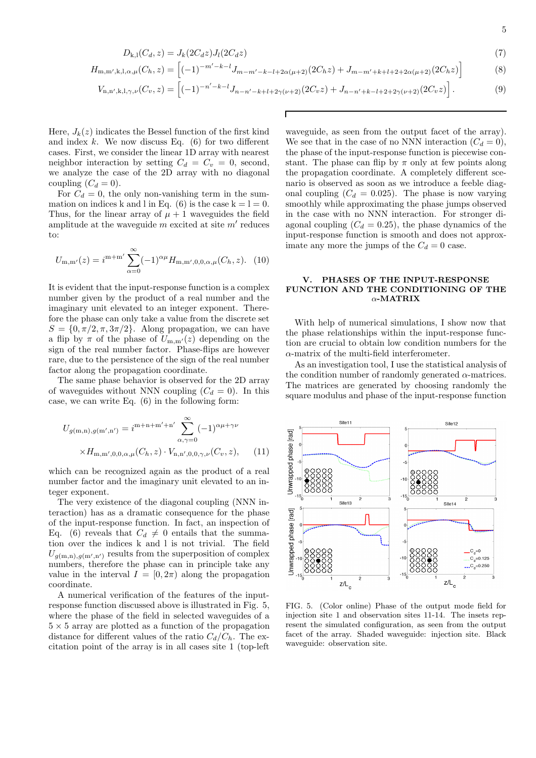$$
D_{k,1}(C_d, z) = J_k(2C_d z)J_l(2C_d z)
$$
\n(7)

$$
H_{\mathbf{m},\mathbf{m}',\mathbf{k},\mathbf{l},\alpha,\mu}(C_h,z) = \left[(-1)^{-m'-k-l}J_{m-m'-k-l+2\alpha(\mu+2)}(2C_hz) + J_{m-m'+k+l+2+2\alpha(\mu+2)}(2C_hz)\right]
$$
(8)

$$
V_{n,n',k,l,\gamma,\nu}(C_v,z) = \left[(-1)^{-n'-k-l}J_{n-n'-k+l+2\gamma(\nu+2)}(2C_vz) + J_{n-n'+k-l+2+2\gamma(\nu+2)}(2C_vz)\right].
$$
\n(9)

Here,  $J_k(z)$  indicates the Bessel function of the first kind and index  $k$ . We now discuss Eq.  $(6)$  for two different cases. First, we consider the linear 1D array with nearest neighbor interaction by setting  $C_d = C_v = 0$ , second, we analyze the case of the 2D array with no diagonal coupling  $(C_d = 0)$ .

For  $C_d = 0$ , the only non-vanishing term in the summation on indices k and l in Eq. (6) is the case  $k = l = 0$ . Thus, for the linear array of  $\mu + 1$  waveguides the field amplitude at the waveguide  $m$  excited at site  $m'$  reduces to:

$$
U_{\mathbf{m},\mathbf{m}'}(z) = i^{\mathbf{m}+\mathbf{m}'} \sum_{\alpha=0}^{\infty} (-1)^{\alpha\mu} H_{\mathbf{m},\mathbf{m}',0,0,\alpha,\mu}(C_h,z). \tag{10}
$$

It is evident that the input-response function is a complex number given by the product of a real number and the imaginary unit elevated to an integer exponent. Therefore the phase can only take a value from the discrete set  $S = \{0, \pi/2, \pi, 3\pi/2\}$ . Along propagation, we can have a flip by  $\pi$  of the phase of  $U_{m,m'}(z)$  depending on the sign of the real number factor. Phase-flips are however rare, due to the persistence of the sign of the real number factor along the propagation coordinate.

The same phase behavior is observed for the 2D array of waveguides without NNN coupling  $(C_d = 0)$ . In this case, we can write Eq. (6) in the following form:

$$
U_{g(m,n),g(m',n')} = i^{m+n+m'+n'} \sum_{\alpha,\gamma=0}^{\infty} (-1)^{\alpha\mu+\gamma\nu}
$$
  
× $H_{m,m',0,0,\alpha,\mu}(C_h, z) \cdot V_{n,n',0,0,\gamma,\nu}(C_v, z),$  (11)

which can be recognized again as the product of a real number factor and the imaginary unit elevated to an integer exponent.

The very existence of the diagonal coupling (NNN interaction) has as a dramatic consequence for the phase of the input-response function. In fact, an inspection of Eq. (6) reveals that  $C_d \neq 0$  entails that the summation over the indices k and l is not trivial. The field  $U_{g(m,n),g(m',n')}$  results from the superposition of complex numbers, therefore the phase can in principle take any value in the interval  $I = [0, 2\pi)$  along the propagation coordinate.

A numerical verification of the features of the inputresponse function discussed above is illustrated in Fig. 5, where the phase of the field in selected waveguides of a  $5 \times 5$  array are plotted as a function of the propagation distance for different values of the ratio  $C_d/C_b$ . The excitation point of the array is in all cases site 1 (top-left

waveguide, as seen from the output facet of the array). We see that in the case of no NNN interaction  $(C_d = 0)$ , the phase of the input-response function is piecewise constant. The phase can flip by  $\pi$  only at few points along the propagation coordinate. A completely different scenario is observed as soon as we introduce a feeble diagonal coupling  $(C_d = 0.025)$ . The phase is now varying smoothly while approximating the phase jumps observed in the case with no NNN interaction. For stronger diagonal coupling  $(C_d = 0.25)$ , the phase dynamics of the input-response function is smooth and does not approximate any more the jumps of the  $C_d = 0$  case.

# V. PHASES OF THE INPUT-RESPONSE FUNCTION AND THE CONDITIONING OF THE α-MATRIX

With help of numerical simulations, I show now that the phase relationships within the input-response function are crucial to obtain low condition numbers for the  $\alpha$ -matrix of the multi-field interferometer.

As an investigation tool, I use the statistical analysis of the condition number of randomly generated  $\alpha$ -matrices. The matrices are generated by choosing randomly the square modulus and phase of the input-response function



FIG. 5. (Color online) Phase of the output mode field for injection site 1 and observation sites 11-14. The insets represent the simulated configuration, as seen from the output facet of the array. Shaded waveguide: injection site. Black waveguide: observation site.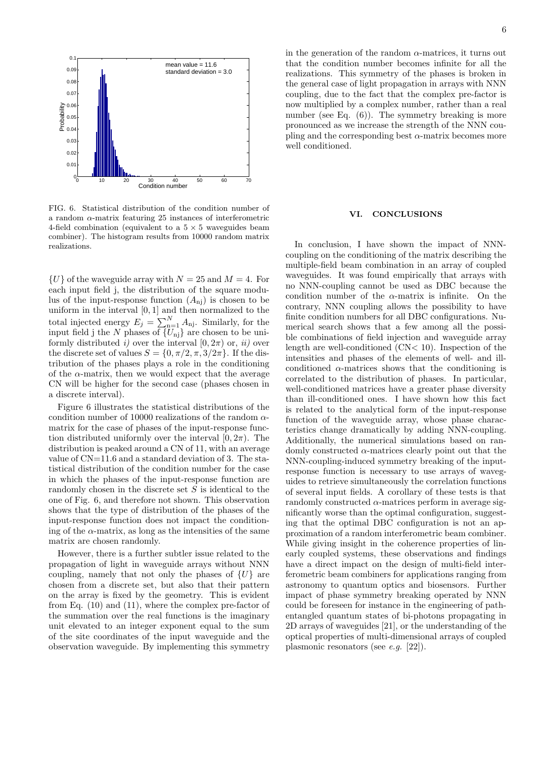

FIG. 6. Statistical distribution of the condition number of a random  $\alpha$ -matrix featuring 25 instances of interferometric 4-field combination (equivalent to a  $5 \times 5$  waveguides beam combiner). The histogram results from 10000 random matrix realizations.

 $\{U\}$  of the waveguide array with  $N = 25$  and  $M = 4$ . For each input field j, the distribution of the square modulus of the input-response function  $(A_{ni})$  is chosen to be uniform in the interval [0, 1] and then normalized to the total injected energy  $E_j = \sum_{n=1}^{N} A_{nj}$ . Similarly, for the input field j the N phases of  $\{U_{nj}\}$  are chosen to be uniformly distributed i) over the interval  $[0, 2\pi)$  or, ii) over the discrete set of values  $S = \{0, \pi/2, \pi, 3/2\pi\}$ . If the distribution of the phases plays a role in the conditioning of the  $\alpha$ -matrix, then we would expect that the average CN will be higher for the second case (phases chosen in a discrete interval).

Figure 6 illustrates the statistical distributions of the condition number of 10000 realizations of the random  $\alpha$ matrix for the case of phases of the input-response function distributed uniformly over the interval  $[0, 2\pi)$ . The distribution is peaked around a CN of 11, with an average value of CN=11.6 and a standard deviation of 3. The statistical distribution of the condition number for the case in which the phases of the input-response function are randomly chosen in the discrete set S is identical to the one of Fig. 6, and therefore not shown. This observation shows that the type of distribution of the phases of the input-response function does not impact the conditioning of the  $\alpha$ -matrix, as long as the intensities of the same matrix are chosen randomly.

However, there is a further subtler issue related to the propagation of light in waveguide arrays without NNN coupling, namely that not only the phases of  $\{U\}$  are chosen from a discrete set, but also that their pattern on the array is fixed by the geometry. This is evident from Eq. (10) and (11), where the complex pre-factor of the summation over the real functions is the imaginary unit elevated to an integer exponent equal to the sum of the site coordinates of the input waveguide and the observation waveguide. By implementing this symmetry in the generation of the random  $\alpha$ -matrices, it turns out that the condition number becomes infinite for all the realizations. This symmetry of the phases is broken in the general case of light propagation in arrays with NNN coupling, due to the fact that the complex pre-factor is now multiplied by a complex number, rather than a real number (see Eq. (6)). The symmetry breaking is more pronounced as we increase the strength of the NNN coupling and the corresponding best  $\alpha$ -matrix becomes more well conditioned.

#### VI. CONCLUSIONS

In conclusion, I have shown the impact of NNNcoupling on the conditioning of the matrix describing the multiple-field beam combination in an array of coupled waveguides. It was found empirically that arrays with no NNN-coupling cannot be used as DBC because the condition number of the  $\alpha$ -matrix is infinite. On the contrary, NNN coupling allows the possibility to have finite condition numbers for all DBC configurations. Numerical search shows that a few among all the possible combinations of field injection and waveguide array length are well-conditioned (CN< 10). Inspection of the intensities and phases of the elements of well- and illconditioned  $\alpha$ -matrices shows that the conditioning is correlated to the distribution of phases. In particular, well-conditioned matrices have a greater phase diversity than ill-conditioned ones. I have shown how this fact is related to the analytical form of the input-response function of the waveguide array, whose phase characteristics change dramatically by adding NNN-coupling. Additionally, the numerical simulations based on randomly constructed  $\alpha$ -matrices clearly point out that the NNN-coupling-induced symmetry breaking of the inputresponse function is necessary to use arrays of waveguides to retrieve simultaneously the correlation functions of several input fields. A corollary of these tests is that randomly constructed  $\alpha$ -matrices perform in average significantly worse than the optimal configuration, suggesting that the optimal DBC configuration is not an approximation of a random interferometric beam combiner. While giving insight in the coherence properties of linearly coupled systems, these observations and findings have a direct impact on the design of multi-field interferometric beam combiners for applications ranging from astronomy to quantum optics and biosensors. Further impact of phase symmetry breaking operated by NNN could be foreseen for instance in the engineering of pathentangled quantum states of bi-photons propagating in 2D arrays of waveguides [21], or the understanding of the optical properties of multi-dimensional arrays of coupled plasmonic resonators (see e.g. [22]).